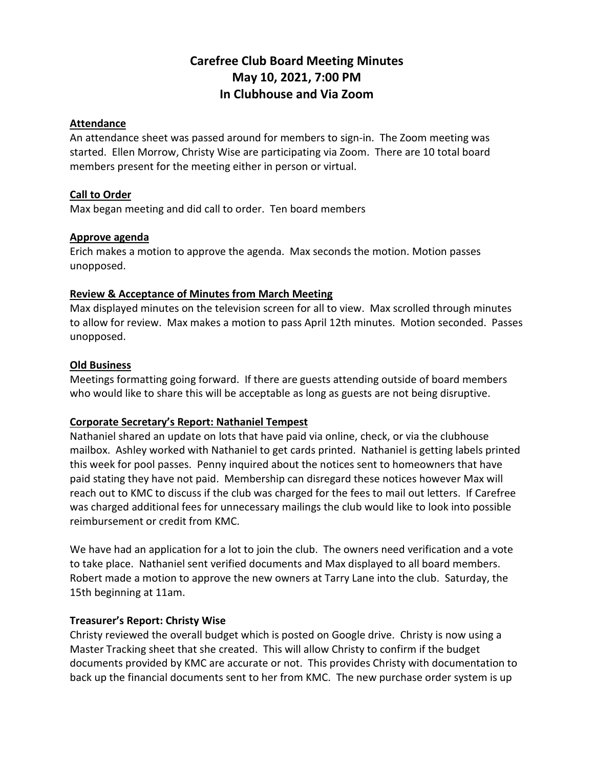# **Carefree Club Board Meeting Minutes May 10, 2021, 7:00 PM In Clubhouse and Via Zoom**

### **Attendance**

An attendance sheet was passed around for members to sign-in. The Zoom meeting was started. Ellen Morrow, Christy Wise are participating via Zoom. There are 10 total board members present for the meeting either in person or virtual.

#### **Call to Order**

Max began meeting and did call to order. Ten board members

#### **Approve agenda**

Erich makes a motion to approve the agenda. Max seconds the motion. Motion passes unopposed.

#### **Review & Acceptance of Minutes from March Meeting**

Max displayed minutes on the television screen for all to view. Max scrolled through minutes to allow for review. Max makes a motion to pass April 12th minutes. Motion seconded. Passes unopposed.

#### **Old Business**

Meetings formatting going forward. If there are guests attending outside of board members who would like to share this will be acceptable as long as guests are not being disruptive.

#### **Corporate Secretary's Report: Nathaniel Tempest**

Nathaniel shared an update on lots that have paid via online, check, or via the clubhouse mailbox. Ashley worked with Nathaniel to get cards printed. Nathaniel is getting labels printed this week for pool passes. Penny inquired about the notices sent to homeowners that have paid stating they have not paid. Membership can disregard these notices however Max will reach out to KMC to discuss if the club was charged for the fees to mail out letters. If Carefree was charged additional fees for unnecessary mailings the club would like to look into possible reimbursement or credit from KMC.

We have had an application for a lot to join the club. The owners need verification and a vote to take place. Nathaniel sent verified documents and Max displayed to all board members. Robert made a motion to approve the new owners at Tarry Lane into the club. Saturday, the 15th beginning at 11am.

#### **Treasurer's Report: Christy Wise**

Christy reviewed the overall budget which is posted on Google drive. Christy is now using a Master Tracking sheet that she created. This will allow Christy to confirm if the budget documents provided by KMC are accurate or not. This provides Christy with documentation to back up the financial documents sent to her from KMC. The new purchase order system is up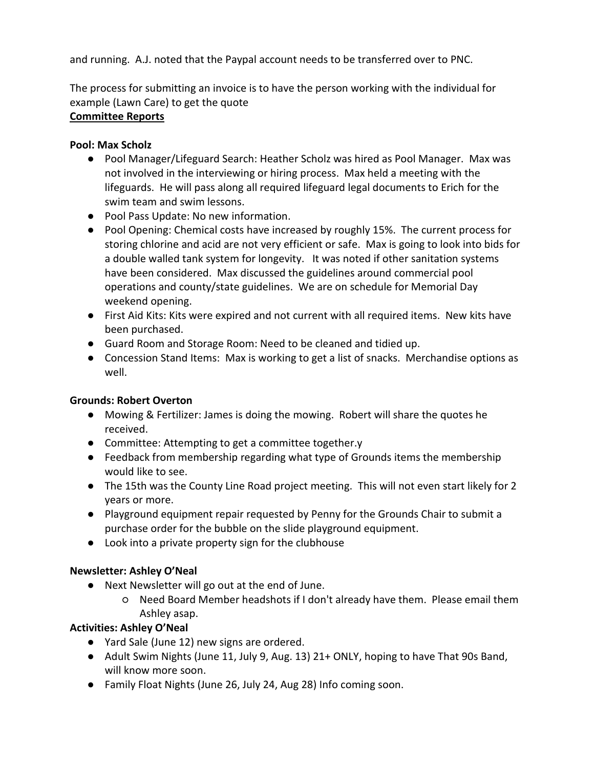and running. A.J. noted that the Paypal account needs to be transferred over to PNC.

The process for submitting an invoice is to have the person working with the individual for example (Lawn Care) to get the quote

# **Committee Reports**

# **Pool: Max Scholz**

- Pool Manager/Lifeguard Search: Heather Scholz was hired as Pool Manager. Max was not involved in the interviewing or hiring process. Max held a meeting with the lifeguards. He will pass along all required lifeguard legal documents to Erich for the swim team and swim lessons.
- Pool Pass Update: No new information.
- Pool Opening: Chemical costs have increased by roughly 15%. The current process for storing chlorine and acid are not very efficient or safe. Max is going to look into bids for a double walled tank system for longevity. It was noted if other sanitation systems have been considered. Max discussed the guidelines around commercial pool operations and county/state guidelines. We are on schedule for Memorial Day weekend opening.
- First Aid Kits: Kits were expired and not current with all required items. New kits have been purchased.
- Guard Room and Storage Room: Need to be cleaned and tidied up.
- Concession Stand Items: Max is working to get a list of snacks. Merchandise options as well.

# **Grounds: Robert Overton**

- Mowing & Fertilizer: James is doing the mowing. Robert will share the quotes he received.
- Committee: Attempting to get a committee together.y
- Feedback from membership regarding what type of Grounds items the membership would like to see.
- The 15th was the County Line Road project meeting. This will not even start likely for 2 years or more.
- Playground equipment repair requested by Penny for the Grounds Chair to submit a purchase order for the bubble on the slide playground equipment.
- Look into a private property sign for the clubhouse

# **Newsletter: Ashley O'Neal**

- Next Newsletter will go out at the end of June.
	- Need Board Member headshots if I don't already have them. Please email them Ashley asap.

# **Activities: Ashley O'Neal**

- Yard Sale (June 12) new signs are ordered.
- Adult Swim Nights (June 11, July 9, Aug. 13) 21+ ONLY, hoping to have That 90s Band, will know more soon.
- Family Float Nights (June 26, July 24, Aug 28) Info coming soon.